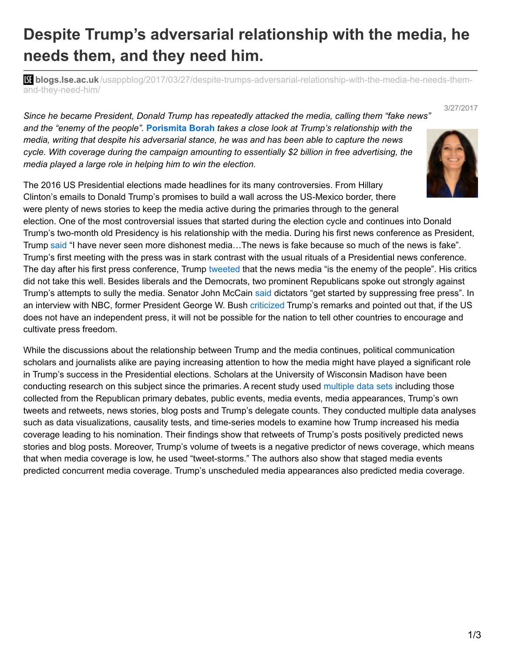## **Despite Trump's adversarial relationship with the media, he needs them, and they need him.**

**bli blogs.lse.ac.uk**[/usappblog/2017/03/27/despite-trumps-adversarial-relationship-with-the-media-he-needs-them](http://blogs.lse.ac.uk/usappblog/2017/03/27/despite-trumps-adversarial-relationship-with-the-media-he-needs-them-and-they-need-him/)and-they-need-him/

*Since he became President, Donald Trump has repeatedly attacked the media, calling them "fake news" and the "enemy of the people".* **[Porismita](http://wp.me/p3I2YF-6EB#Author) Borah** *takes a close look at Trump's relationship with the media, writing that despite his adversarial stance, he was and has been able to capture the news cycle. With coverage during the campaign amounting to essentially \$2 billion in free advertising, the media played a large role in helping him to win the election.*

The 2016 US Presidential elections made headlines for its many controversies. From Hillary Clinton's emails to Donald Trump's promises to build a wall across the US-Mexico border, there were plenty of news stories to keep the media active during the primaries through to the general

election. One of the most controversial issues that started during the election cycle and continues into Donald Trump's two-month old Presidency is his relationship with the media. During his first news conference as President, Trump [said](http://www.cnn.com/2017/02/16/politics/donald-trump-press-conference-amazing-day-in-history/) "I have never seen more dishonest media...The news is fake because so much of the news is fake". Trump's first meeting with the press was in stark contrast with the usual rituals of a Presidential news conference. The day after his first press conference, Trump [tweeted](https://www.nytimes.com/2017/02/17/business/trump-calls-the-news-media-the-enemy-of-the-people.html?_r=0) that the news media "is the enemy of the people". His critics did not take this well. Besides liberals and the Democrats, two prominent Republicans spoke out strongly against Trump's attempts to sully the media. Senator John McCain [said](http://www.cnn.com/2017/02/18/politics/john-mccain-donald-trump-dictators/) dictators "get started by suppressing free press". In an interview with NBC, former President George W. Bush [criticized](http://www.today.com/news/george-w-bush-opens-trump-s-war-media-russia-travel-t108627) Trump's remarks and pointed out that, if the US does not have an independent press, it will not be possible for the nation to tell other countries to encourage and cultivate press freedom.

While the discussions about the relationship between Trump and the media continues, political communication scholars and journalists alike are paying increasing attention to how the media might have played a significant role in Trump's success in the Presidential elections. Scholars at the University of Wisconsin Madison have been conducting research on this subject since the primaries. A recent study used [multiple](http://www.tandfonline.com/doi/full/10.1080/10584609.2016.1224416) data sets including those collected from the Republican primary debates, public events, media events, media appearances, Trump's own tweets and retweets, news stories, blog posts and Trump's delegate counts. They conducted multiple data analyses such as data visualizations, causality tests, and time-series models to examine how Trump increased his media coverage leading to his nomination. Their findings show that retweets of Trump's posts positively predicted news stories and blog posts. Moreover, Trump's volume of tweets is a negative predictor of news coverage, which means that when media coverage is low, he used "tweet-storms." The authors also show that staged media events predicted concurrent media coverage. Trump's unscheduled media appearances also predicted media coverage.



3/27/2017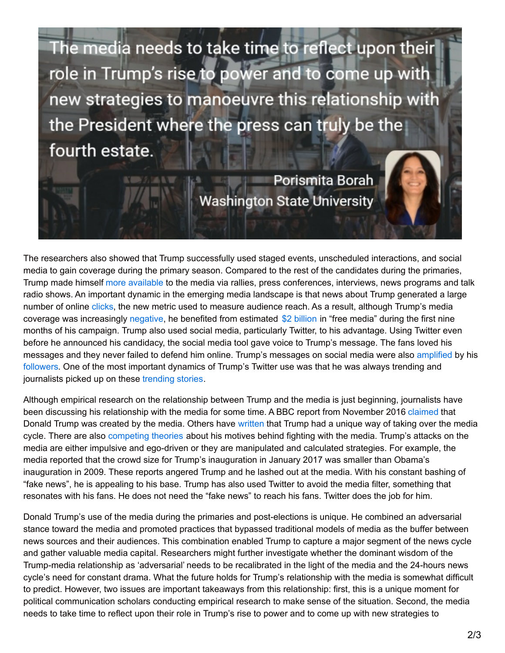The media needs to take time to reflect upon their role in Trump's rise to power and to come up with new strategies to manoeuvre this relationship with the President where the press can truly be the fourth estate.

**SA 6/10** 

Porismita Borah **Washington State University** 

The researchers also showed that Trump successfully used staged events, unscheduled interactions, and social media to gain coverage during the primary season. Compared to the rest of the candidates during the primaries, Trump made himself more [available](https://www.washingtonpost.com/news/the-fix/wp/2016/06/06/the-clinton-campaigns-totally-bogus-claim-about-its-press-availability/) to the media via rallies, press conferences, interviews, news programs and talk radio shows. An important dynamic in the emerging media landscape is that news about Trump generated a large number of online [clicks](http://chronicle.com/article/The-Clickbait-Candidate/236815?cid=rc_right), the new metric used to measure audience reach. As a result, although Trump's media coverage was increasingly [negative](http://www.vox.com/2016/4/15/11410160/hillary-clinton-mediabernie-sanders), he benefited from estimated \$2 [billion](https://www.nytimes.com/2016/03/16/upshot/measuring-donald-trumps-mammoth-advantage-in-free-media.html) in "free media" during the first nine months of his campaign. Trump also used social media, particularly Twitter, to his advantage. Using Twitter even before he announced his candidacy, the social media tool gave voice to Trump's message. The fans loved his messages and they never failed to defend him online. Trump's messages on social media were also [amplified](http://www.nytimes.com/2016/07/14/us/politics/donald-trump-white-identity.html) by his [followers.](https://www.elgaronline.com/view/9781782548751.00026.xml) One of the most important dynamics of Trump's Twitter use was that he was always trending and journalists picked up on these [trending](http://www.tandfonline.com/doi/abs/10.1080/10584609.2016.1224416) stories.

Although empirical research on the relationship between Trump and the media is just beginning, journalists have been discussing his relationship with the media for some time. A BBC report from November 2016 [claimed](http://www.bbc.com/news/entertainment-arts-37952249) that Donald Trump was created by the media. Others have [written](https://fivethirtyeight.com/features/how-donald-trump-hacked-the-media/) that Trump had a unique way of taking over the media cycle. There are also [competing](http://www.azcentral.com/story/news/politics/washington/2017/02/03/president-donald-trump-media-attacks/97101956/) theories about his motives behind fighting with the media. Trump's attacks on the media are either impulsive and ego-driven or they are manipulated and calculated strategies. For example, the media reported that the crowd size for Trump's inauguration in January 2017 was smaller than Obama's inauguration in 2009. These reports angered Trump and he lashed out at the media. With his constant bashing of "fake news", he is appealing to his base. Trump has also used Twitter to avoid the media filter, something that resonates with his fans. He does not need the "fake news" to reach his fans. Twitter does the job for him.

Donald Trump's use of the media during the primaries and post-elections is unique. He combined an adversarial stance toward the media and promoted practices that bypassed traditional models of media as the buffer between news sources and their audiences. This combination enabled Trump to capture a major segment of the news cycle and gather valuable media capital. Researchers might further investigate whether the dominant wisdom of the Trump-media relationship as 'adversarial' needs to be recalibrated in the light of the media and the 24-hours news cycle's need for constant drama. What the future holds for Trump's relationship with the media is somewhat difficult to predict. However, two issues are important takeaways from this relationship: first, this is a unique moment for political communication scholars conducting empirical research to make sense of the situation. Second, the media needs to take time to reflect upon their role in Trump's rise to power and to come up with new strategies to